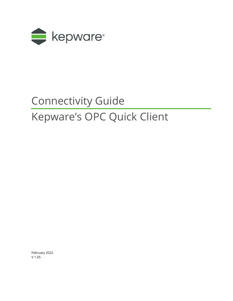

# Connectivity Guide Kepware's OPC Quick Client

February 2022 V 1.05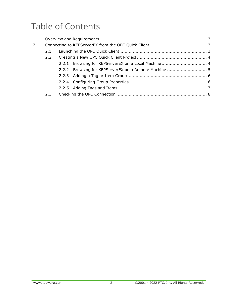# Table of Contents

| 1. |     |  |                                                       |  |  |  |
|----|-----|--|-------------------------------------------------------|--|--|--|
| 2. |     |  |                                                       |  |  |  |
|    | 2.1 |  |                                                       |  |  |  |
|    |     |  |                                                       |  |  |  |
|    |     |  | 2.2.1 Browsing for KEPServerEX on a Local Machine 4   |  |  |  |
|    |     |  | 2.2.2 Browsing for KEPServerEX on a Remote Machine  5 |  |  |  |
|    |     |  |                                                       |  |  |  |
|    |     |  |                                                       |  |  |  |
|    |     |  |                                                       |  |  |  |
|    | 2.3 |  |                                                       |  |  |  |
|    |     |  |                                                       |  |  |  |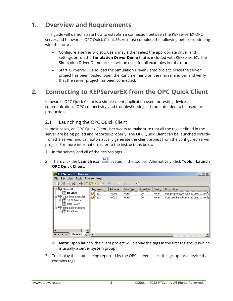## <span id="page-2-0"></span>**1. Overview and Requirements**

This guide will demonstrate how to establish a connection between the KEPServerEX OPC server and Kepware's OPC Quick Client. Users must complete the following before continuing with the tutorial:

- Configure a server project. Users may either select the appropriate driver and settings or run the **Simulation Driver Demo** that is included with KEPServerEX. The Simulation Driver Demo project will be used for all examples in this tutorial.
- Start KEPServerEX and load the Simulation Driver Demo project. Once the server project has been loaded, open the Runtime menu on the main menu bar and verify that the server project has been connected.

### <span id="page-2-1"></span>**2. Connecting to KEPServerEX from the OPC Quick Client**

Kepware's OPC Quick Client is a simple client application used for testing device communications, OPC connectivity, and troubleshooting. It is not intended to be used for production.

#### <span id="page-2-2"></span>2.1 Launching the OPC Quick Client

In most cases, an OPC Quick Client user wants to make sure that all the tags defined in the server are being polled and reported properly. The OPC Quick Client can be launched directly from the server, and can automatically generate the client project from the configured server project. For more information, refer to the instructions below.

- 1. In the server, add all of the desired tags.
- 2. Then, click the **Launch** icon located in the toolbar. Alternatively, click **Tools** | **Launch OPC Quick Client**.

| <b>&amp;KEPServerEX - Runtime</b><br>$ \Box$ $\times$                                                             |                 |         |           |           |         |                                        |  |  |  |
|-------------------------------------------------------------------------------------------------------------------|-----------------|---------|-----------|-----------|---------|----------------------------------------|--|--|--|
| Edit View Tools Runtime Help<br>File                                                                              |                 |         |           |           |         |                                        |  |  |  |
| <u>c de nombre s</u><br>匷<br>$\blacksquare$ 5 5 6 $\times$                                                        |                 |         |           |           |         |                                        |  |  |  |
| Channel1<br>$\boxdot$                                                                                             | Tag Name        | Address | Data Type | Scan Rate | Scaling | Description                            |  |  |  |
| <b>TH</b> Device1                                                                                                 | <b>M</b> Tag1   | R0001   | Word      | 100       | None    | Ramping Read/Write Tag used to verify  |  |  |  |
| Data Type Examples<br>Ė<br>16 Bit Device<br>III 8 Bit Device<br>Simulation Examples<br>Ė<br><b>Till</b> Functions | $\sqrt{1}$ Taq2 | K0002   | Word      | 100       | None    | Constant Read/Write tag used to verify |  |  |  |
| Devices<br>И                                                                                                      |                 |         |           |           |         |                                        |  |  |  |

- **Note:** Upon launch, the client project will display the tags in the first tag group (which is usually a server system group).
- 3. To display the status being reported by the OPC server, select the group for a device that contains tags.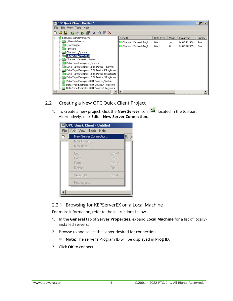| <b>SE OPC Quick Client - Untitled *</b>        |                       |           |       |              | $\Box$  |  |  |
|------------------------------------------------|-----------------------|-----------|-------|--------------|---------|--|--|
| Edit View Tools Help<br>File                   |                       |           |       |              |         |  |  |
| より唱く<br>8   š š š š l                          |                       |           |       |              |         |  |  |
| Kepware.KEPServerEX.V5                         | Item ID               | Data Type | Value | Timestamp    | Quality |  |  |
| Alarms&Events                                  | Channel1.Device1.Tag1 | Word      | 14    | 14:05:12.936 | Good    |  |  |
| DataLogger                                     | Channel1.Device1.Tag2 | Word      | 0.    | 14:00:20.935 | Good    |  |  |
| System                                         |                       |           |       |              |         |  |  |
| Channel1. System<br>Channel1.Device1           |                       |           |       |              |         |  |  |
| Channel1.Device1._System                       |                       |           |       |              |         |  |  |
| Data Type Examples, System                     |                       |           |       |              |         |  |  |
| Data Type Examples.16 Bit Device, System       |                       |           |       |              |         |  |  |
| Data Type Examples, 16 Bit Device, K Registers |                       |           |       |              |         |  |  |
| Data Type Examples.16 Bit Device.RRegisters    |                       |           |       |              |         |  |  |
| Data Type Examples.16 Bit Device.5 Registers   |                       |           |       |              |         |  |  |
| Data Type Examples.8 Bit Device. System        |                       |           |       |              |         |  |  |
| Data Type Examples, 8 Bit Device, K Registers  |                       |           |       |              |         |  |  |
| Data Type Examples, 8 Bit Device, R Registers  |                       |           |       |              |         |  |  |
|                                                |                       |           |       |              |         |  |  |

- <span id="page-3-0"></span>2.2 Creating a New OPC Quick Client Project
	- 1. To create a new project, click the **New Server** icon **1.** located in the toolbar. Alternatively, click **Edit** | **New Server Connection…**.

| New Server Connection |            |
|-----------------------|------------|
|                       |            |
| New Group             |            |
| New Item              |            |
| Cut                   | Ctrl+X     |
| Copy                  | $Ctrl + C$ |
| Paste                 | Ctrl+V     |
| Delete                | Del        |
| Select All            | Ctrl+A     |
| Properties            |            |

<span id="page-3-1"></span>2.2.1 Browsing for KEPServerEX on a Local Machine

For more information, refer to the instructions below.

- 1. In the **General** tab of **Server Properties**, expand **Local Machine** for a list of locallyinstalled servers.
- 2. Browse to and select the server desired for connection.
	- **Note:** The server's Program ID will be displayed in **Prog ID**.
- 3. Click **OK** to connect.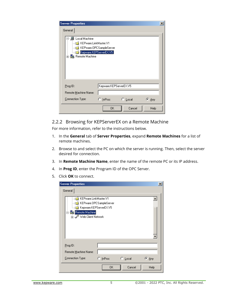| <b>Server Properties</b>                                                                                                                                          |                        |                  | $\times$ |
|-------------------------------------------------------------------------------------------------------------------------------------------------------------------|------------------------|------------------|----------|
| General                                                                                                                                                           |                        |                  |          |
| ∃… <b>鳯 L</b> ocal Machine<br>… <sub>still</sub> ii KEPware.LinkMaster.V1<br>KEPware.OPCSampleServer<br>Kepware.KEPServerEX.V5<br>南-- <b>岩</b> 国, Remote Machine. |                        |                  |          |
| Prog ID:                                                                                                                                                          | Kepware.KEPServerEX.V5 |                  |          |
| Remote Machine Name:                                                                                                                                              |                        |                  |          |
| Connection Type:                                                                                                                                                  | $\heartsuit$ [nProc    | $\bigcirc$ Local | ⊕ ∆ny    |
|                                                                                                                                                                   | OΚ                     | Cancel           | Help     |

#### <span id="page-4-0"></span>2.2.2 Browsing for KEPServerEX on a Remote Machine

For more information, refer to the instructions below.

- 1. In the **General** tab of **Server Properties**, expand **Remote Machines** for a list of remote machines.
- 2. Browse to and select the PC on which the server is running. Then, select the server desired for connection.
- 3. In **Remote Machine Name**, enter the name of the remote PC or its IP address.
- 4. In **Prog ID**, enter the Program ID of the OPC Server.
- 5. Click **OK** to connect.

| <b>Server Properties</b>                                                                                                                                                |           |        | $\vert x \vert$ |  |  |  |  |
|-------------------------------------------------------------------------------------------------------------------------------------------------------------------------|-----------|--------|-----------------|--|--|--|--|
| General                                                                                                                                                                 |           |        |                 |  |  |  |  |
| ाली KEPware.LinkMaster.V1<br>۰<br>KEPware.OPCSampleServer<br>ं…: : : Kepware.KEPServerEX.V5<br>白 <mark>驰</mark> Remote Machine<br>⊞ – √ <sup>→</sup> Web Client Network |           |        |                 |  |  |  |  |
| Prog ID:                                                                                                                                                                |           |        |                 |  |  |  |  |
| Remote Machine Name:                                                                                                                                                    |           |        |                 |  |  |  |  |
| Connection Type:<br>$\heartsuit$ InProc<br>$\bigcirc$ Local<br>⊕ Any                                                                                                    |           |        |                 |  |  |  |  |
|                                                                                                                                                                         | <b>OK</b> | Cancel | Help            |  |  |  |  |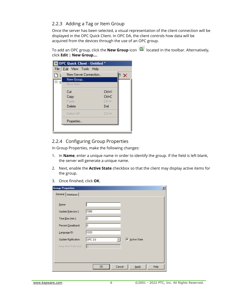#### <span id="page-5-0"></span>2.2.3 Adding a Tag or Item Group

Once the server has been selected, a visual representation of the client connection will be displayed in the OPC Quick Client. In OPC DA, the client controls how data will be acquired from the devices through the use of an OPC group.

To add an OPC group, click the **New Group** icon **interpreteration** the toolbar. Alternatively, click **Edit** | **New Group…**.

|      | <b>OPC Quick Client - Untitled *</b> |   |
|------|--------------------------------------|---|
| File | Edit View Tools Help                 |   |
|      | New Server Connection                | ✕ |
| 3-d  | New Group                            |   |
|      | New Item                             |   |
|      | Cut<br>$C$ trl+ $\times$             |   |
|      | Ctrl+C<br>Copy                       |   |
|      | Ctrl+V<br>Paste                      |   |
|      | Delete<br>Del                        |   |
|      | Select All<br>Ctrl+A                 |   |
|      | Properties                           |   |
|      |                                      |   |

#### <span id="page-5-1"></span>2.2.4 Configuring Group Properties

In Group Properties, make the following changes:

- 1. In **Name**, enter a unique name in order to identify the group. If the field is left blank, the server will generate a unique name.
- 2. Next, enable the **Active State** checkbox so that the client may display active items for the group.
- 3. Once finished, click **OK**.

| <b>Group Properties</b>                          |                                 | $\vert x \vert$ |
|--------------------------------------------------|---------------------------------|-----------------|
| General<br>Interfaces                            |                                 |                 |
| Name:<br>Update Rate (ms.):<br>Time Bias (min.): | 1000<br>O)                      |                 |
| Percent Deadband:                                | 10<br>1033                      |                 |
| Language ID:<br>Update Notification:             | 0PC3.0<br><b>▽</b> Active State |                 |
| Keep Alive Rate (ms):                            | 10                              |                 |
|                                                  |                                 |                 |
|                                                  | Cancel<br>0K<br>Help<br>Apply   |                 |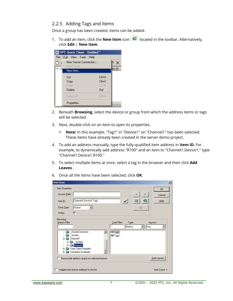#### <span id="page-6-0"></span>2.2.5 Adding Tags and Items

Once a group has been created, items can be added.

1. To add an item, click the **New Item** icon **dellar** located in the toolbar. Alternatively, click **Edit** | **New Item**.



- 2. Beneath **Browsing**, select the device or group from which the address items or tags will be selected.
- 3. Next, double-click on an item to open its properties.
	- **Note:** In this example, "Tag1" in "Device1" on "Channel1" has been selected. These items have already been created in the server demo project.
- 4. To add an address manually, type the fully-qualified item address in **Item ID**. For example, to dynamically add address "R100" and an item to "Channel1.Device1," type "Channel1.Device1.R100."
- 5. To select multiple items at once, select a tag in the browser and then click **Add Leaves**.
- 6. Once all the items have been selected, click **OK**.

| <b>Add Items</b>                                                                                                                                                                                                                                                   | $\vert x \vert$      |
|--------------------------------------------------------------------------------------------------------------------------------------------------------------------------------------------------------------------------------------------------------------------|----------------------|
| Item Properties<br>Access Path:<br>◚<br>Channel1.Device1.Tag1<br>Ϋ́.<br>Item ID:<br>Data Type:<br>Native<br>図<br>⊽<br>Active                                                                                                                                       | 0K<br>Cancel<br>Help |
| Browsing<br>Branch Filter:<br>Leaf Filter:<br>Type:<br> ×<br>×<br>Native<br>Any<br>OracleConnector<br><b>■Tag1</b><br>System<br><b>■Tag2</b><br>Channel1<br><b>Bull</b> System<br>曱<br><b>Device1</b><br>曱<br>Data Type Examples<br>田明<br>Simulation Examples<br>庙 | Access:              |
| Browse flat address space on selected branch                                                                                                                                                                                                                       | Add Leaves           |
| Validate item before adding it to the list                                                                                                                                                                                                                         | Item Count: 1        |